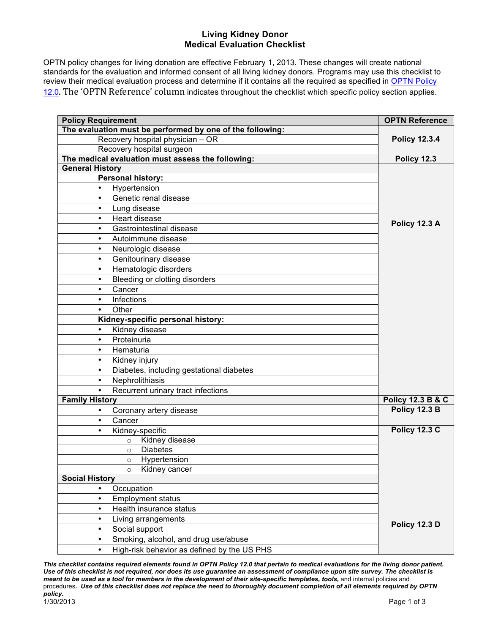## **Living Kidney Donor Medical Evaluation Checklist**

OPTN policy changes for living donation are effective February 1, 2013. These changes will create national standards for the evaluation and informed consent of all living kidney donors. Programs may use this checklist to review their medical evaluation process and determine if it contains all the required as specified in OPTN Policy 12.0. The 'OPTN Reference' column indicates throughout the checklist which specific policy section applies.

| <b>Policy Requirement</b>                                 |                                                   | <b>OPTN Reference</b>        |
|-----------------------------------------------------------|---------------------------------------------------|------------------------------|
| The evaluation must be performed by one of the following: |                                                   |                              |
|                                                           | Recovery hospital physician - OR                  | <b>Policy 12.3.4</b>         |
|                                                           | Recovery hospital surgeon                         |                              |
|                                                           | The medical evaluation must assess the following: | Policy 12.3                  |
| <b>General History</b>                                    |                                                   |                              |
|                                                           | <b>Personal history:</b>                          |                              |
| $\bullet$                                                 | Hypertension                                      |                              |
| $\bullet$                                                 | Genetic renal disease                             |                              |
| $\bullet$                                                 | Lung disease                                      |                              |
| $\bullet$                                                 | Heart disease                                     | Policy 12.3 A                |
| $\bullet$                                                 | Gastrointestinal disease                          |                              |
| $\bullet$                                                 | Autoimmune disease                                |                              |
| $\bullet$                                                 | Neurologic disease                                |                              |
| $\bullet$                                                 | Genitourinary disease                             |                              |
| $\bullet$                                                 | Hematologic disorders                             |                              |
| $\bullet$                                                 | Bleeding or clotting disorders                    |                              |
| $\bullet$                                                 | Cancer                                            |                              |
| $\bullet$                                                 | Infections                                        |                              |
| $\bullet$                                                 | Other                                             |                              |
|                                                           | Kidney-specific personal history:                 |                              |
| $\bullet$                                                 | Kidney disease                                    |                              |
| $\bullet$                                                 | Proteinuria                                       |                              |
| $\bullet$                                                 | Hematuria                                         |                              |
| $\bullet$                                                 | Kidney injury                                     |                              |
| $\bullet$                                                 | Diabetes, including gestational diabetes          |                              |
| $\bullet$                                                 | Nephrolithiasis                                   |                              |
| $\bullet$                                                 | Recurrent urinary tract infections                |                              |
| <b>Family History</b>                                     |                                                   | <b>Policy 12.3 B &amp; C</b> |
| $\bullet$                                                 | Coronary artery disease                           | Policy 12.3 B                |
| $\bullet$                                                 | Cancer                                            |                              |
| $\bullet$                                                 | Kidney-specific                                   | <b>Policy 12.3 C</b>         |
|                                                           | Kidney disease<br>$\circ$                         |                              |
|                                                           | <b>Diabetes</b><br>$\circ$                        |                              |
|                                                           | Hypertension<br>$\circ$                           |                              |
|                                                           | Kidney cancer<br>$\circ$                          |                              |
| <b>Social History</b>                                     |                                                   |                              |
| $\bullet$                                                 | Occupation                                        |                              |
| $\bullet$                                                 | <b>Employment status</b>                          |                              |
| $\bullet$                                                 | Health insurance status                           |                              |
| $\bullet$                                                 | Living arrangements                               |                              |
| $\bullet$                                                 | Social support                                    | Policy 12.3 D                |
| $\bullet$                                                 | Smoking, alcohol, and drug use/abuse              |                              |
| $\bullet$                                                 | High-risk behavior as defined by the US PHS       |                              |

*This checklist contains required elements found in OPTN Policy 12.0 that pertain to medical evaluations for the living donor patient. Use of this checklist is not required, nor does its use guarantee an assessment of compliance upon site survey. The checklist is meant to be used as a tool for members in the development of their site-specific templates, tools, and internal policies and* procedures*. Use of this checklist does not replace the need to thoroughly document completion of all elements required by OPTN policy.* 1/30/2013 Page 1 of 3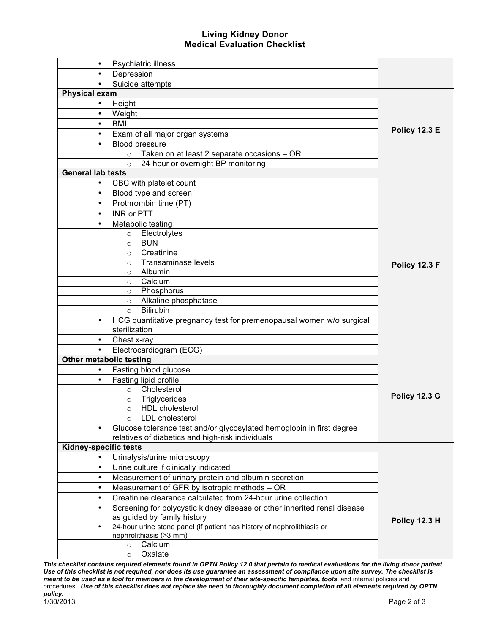## **Living Kidney Donor Medical Evaluation Checklist**

|                          | $\bullet$ | Psychiatric illness                                                      |                      |
|--------------------------|-----------|--------------------------------------------------------------------------|----------------------|
|                          | $\bullet$ | Depression                                                               |                      |
|                          | $\bullet$ | Suicide attempts                                                         |                      |
| <b>Physical exam</b>     |           |                                                                          |                      |
|                          | $\bullet$ | Height                                                                   |                      |
|                          | $\bullet$ | Weight                                                                   |                      |
|                          | $\bullet$ | <b>BMI</b>                                                               |                      |
|                          | $\bullet$ | Exam of all major organ systems                                          | <b>Policy 12.3 E</b> |
|                          | $\bullet$ | Blood pressure                                                           |                      |
|                          |           | Taken on at least 2 separate occasions - OR<br>$\circ$                   |                      |
|                          |           | 24-hour or overnight BP monitoring<br>$\circ$                            |                      |
| <b>General lab tests</b> |           |                                                                          |                      |
|                          | $\bullet$ | CBC with platelet count                                                  |                      |
|                          | $\bullet$ | Blood type and screen                                                    |                      |
|                          | $\bullet$ | Prothrombin time (PT)                                                    |                      |
|                          | $\bullet$ | <b>INR or PTT</b>                                                        |                      |
|                          | $\bullet$ | Metabolic testing                                                        |                      |
|                          |           | Electrolytes<br>$\circ$                                                  |                      |
|                          |           | <b>BUN</b><br>$\circ$                                                    |                      |
|                          |           | Creatinine<br>$\circ$                                                    |                      |
|                          |           | Transaminase levels<br>$\circ$                                           | Policy 12.3 F        |
|                          |           | Albumin<br>$\circ$                                                       |                      |
|                          |           | Calcium<br>$\circ$                                                       |                      |
|                          |           | Phosphorus<br>$\circ$                                                    |                      |
|                          |           | Alkaline phosphatase<br>$\circ$                                          |                      |
|                          |           | <b>Bilirubin</b><br>$\circ$                                              |                      |
|                          | $\bullet$ | HCG quantitative pregnancy test for premenopausal women w/o surgical     |                      |
|                          |           | sterilization                                                            |                      |
|                          | $\bullet$ | Chest x-ray                                                              |                      |
|                          |           | Electrocardiogram (ECG)                                                  |                      |
|                          |           | <b>Other metabolic testing</b>                                           |                      |
|                          | $\bullet$ | Fasting blood glucose                                                    |                      |
|                          |           | Fasting lipid profile                                                    |                      |
|                          |           | Cholesterol<br>$\circ$                                                   |                      |
|                          |           | Triglycerides<br>$\circ$                                                 | Policy 12.3 G        |
|                          |           | <b>HDL</b> cholesterol<br>$\circ$                                        |                      |
|                          |           | LDL cholesterol<br>$\circ$                                               |                      |
|                          | $\bullet$ | Glucose tolerance test and/or glycosylated hemoglobin in first degree    |                      |
|                          |           | relatives of diabetics and high-risk individuals                         |                      |
|                          |           | <b>Kidney-specific tests</b>                                             |                      |
|                          | $\bullet$ | Urinalysis/urine microscopy                                              |                      |
|                          | $\bullet$ | Urine culture if clinically indicated                                    |                      |
|                          | $\bullet$ | Measurement of urinary protein and albumin secretion                     |                      |
|                          | $\bullet$ | Measurement of GFR by isotropic methods - OR                             |                      |
|                          | $\bullet$ | Creatinine clearance calculated from 24-hour urine collection            |                      |
|                          | $\bullet$ | Screening for polycystic kidney disease or other inherited renal disease |                      |
|                          |           | as guided by family history                                              | Policy 12.3 H        |
|                          | $\bullet$ | 24-hour urine stone panel (if patient has history of nephrolithiasis or  |                      |
|                          |           | nephrolithiasis (>3 mm)                                                  |                      |
|                          |           | Calcium<br>$\circ$                                                       |                      |
|                          |           | Oxalate<br>$\circ$                                                       |                      |

*This checklist contains required elements found in OPTN Policy 12.0 that pertain to medical evaluations for the living donor patient. Use of this checklist is not required, nor does its use guarantee an assessment of compliance upon site survey. The checklist is meant to be used as a tool for members in the development of their site-specific templates, tools, and internal policies and* procedures*. Use of this checklist does not replace the need to thoroughly document completion of all elements required by OPTN policy.* 1/30/2013 Page 2 of 3